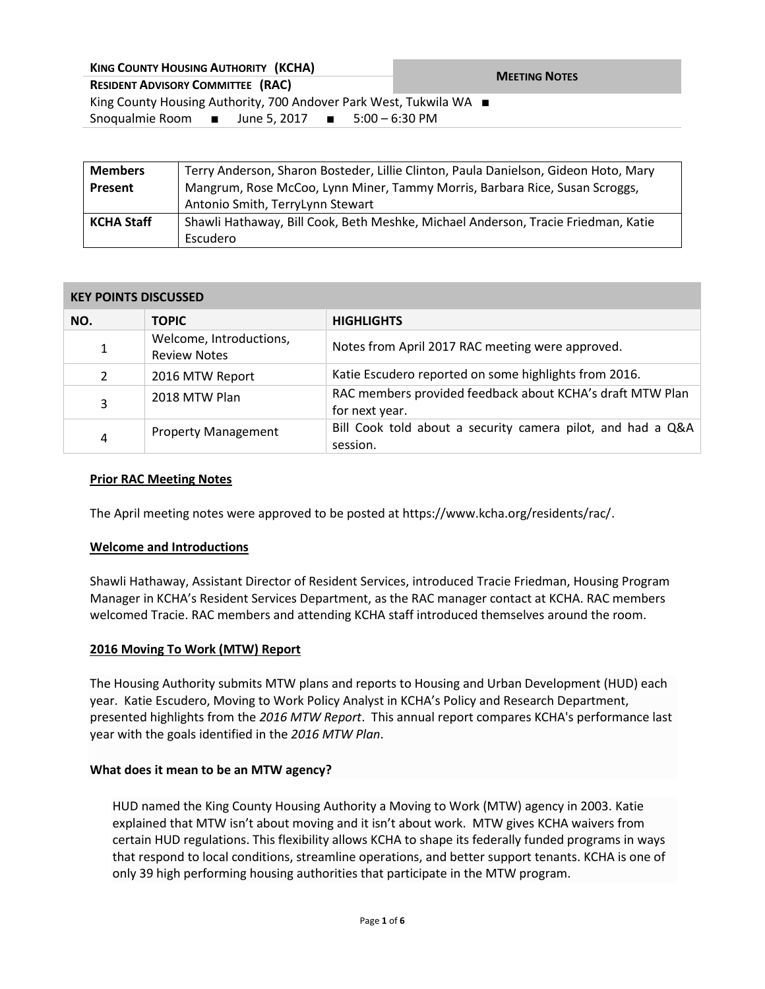| <b>KING COUNTY HOUSING AUTHORITY (KCHA)</b>                               | <b>MEETING NOTES</b> |  |  |
|---------------------------------------------------------------------------|----------------------|--|--|
| <b>RESIDENT ADVISORY COMMITTEE (RAC)</b>                                  |                      |  |  |
| King County Housing Authority, 700 Andover Park West, Tukwila WA ■        |                      |  |  |
| Snoqualmie Room $\blacksquare$ June 5, 2017 $\blacksquare$ 5:00 – 6:30 PM |                      |  |  |
|                                                                           |                      |  |  |

| <b>Members</b>    | Terry Anderson, Sharon Bosteder, Lillie Clinton, Paula Danielson, Gideon Hoto, Mary |  |
|-------------------|-------------------------------------------------------------------------------------|--|
| <b>Present</b>    | Mangrum, Rose McCoo, Lynn Miner, Tammy Morris, Barbara Rice, Susan Scroggs,         |  |
|                   | Antonio Smith, TerryLynn Stewart                                                    |  |
| <b>KCHA Staff</b> | Shawli Hathaway, Bill Cook, Beth Meshke, Michael Anderson, Tracie Friedman, Katie   |  |
|                   | Escudero                                                                            |  |

## **KEY POINTS DISCUSSED**

| NO.            | <b>TOPIC</b>                                   | <b>HIGHLIGHTS</b>                                                           |
|----------------|------------------------------------------------|-----------------------------------------------------------------------------|
| 1              | Welcome, Introductions,<br><b>Review Notes</b> | Notes from April 2017 RAC meeting were approved.                            |
| $\overline{2}$ | 2016 MTW Report                                | Katie Escudero reported on some highlights from 2016.                       |
| 3              | 2018 MTW Plan                                  | RAC members provided feedback about KCHA's draft MTW Plan<br>for next year. |
| 4              | <b>Property Management</b>                     | Bill Cook told about a security camera pilot, and had a Q&A<br>session.     |

## **Prior RAC Meeting Notes**

The April meeting notes were approved to be posted at https://www.kcha.org/residents/rac/.

#### **Welcome and Introductions**

Shawli Hathaway, Assistant Director of Resident Services, introduced Tracie Friedman, Housing Program Manager in KCHA's Resident Services Department, as the RAC manager contact at KCHA. RAC members welcomed Tracie. RAC members and attending KCHA staff introduced themselves around the room.

#### **2016 Moving To Work (MTW) Report**

The Housing Authority submits MTW plans and reports to Housing and Urban Development (HUD) each year. Katie Escudero, Moving to Work Policy Analyst in KCHA's Policy and Research Department, presented highlights from the *2016 MTW Report*. This annual report compares KCHA's performance last year with the goals identified in the *2016 MTW Plan*.

#### **What does it mean to be an MTW agency?**

HUD named the King County Housing Authority a Moving to Work (MTW) agency in 2003. Katie explained that MTW isn't about moving and it isn't about work. MTW gives KCHA waivers from certain HUD regulations. This flexibility allows KCHA to shape its federally funded programs in ways that respond to local conditions, streamline operations, and better support tenants. KCHA is one of only 39 high performing housing authorities that participate in the MTW program.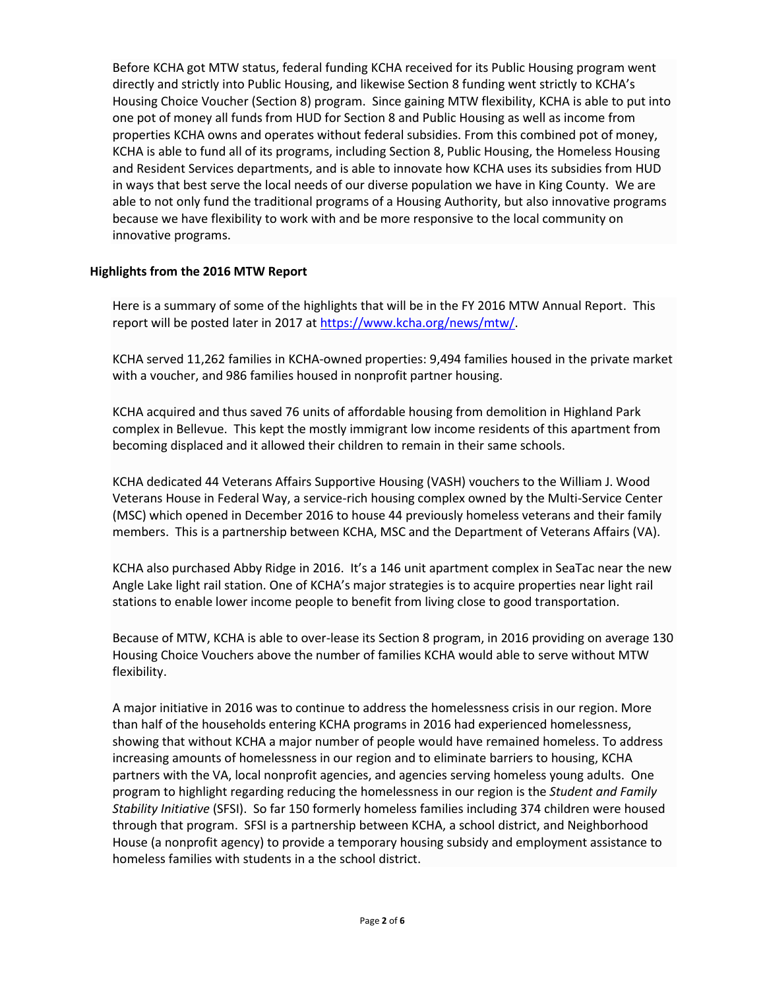Before KCHA got MTW status, federal funding KCHA received for its Public Housing program went directly and strictly into Public Housing, and likewise Section 8 funding went strictly to KCHA's Housing Choice Voucher (Section 8) program. Since gaining MTW flexibility, KCHA is able to put into one pot of money all funds from HUD for Section 8 and Public Housing as well as income from properties KCHA owns and operates without federal subsidies. From this combined pot of money, KCHA is able to fund all of its programs, including Section 8, Public Housing, the Homeless Housing and Resident Services departments, and is able to innovate how KCHA uses its subsidies from HUD in ways that best serve the local needs of our diverse population we have in King County. We are able to not only fund the traditional programs of a Housing Authority, but also innovative programs because we have flexibility to work with and be more responsive to the local community on innovative programs.

# **Highlights from the 2016 MTW Report**

Here is a summary of some of the highlights that will be in the FY 2016 MTW Annual Report. This report will be posted later in 2017 at [https://www.kcha.org/news/mtw/.](https://www.kcha.org/news/mtw/)

KCHA served 11,262 families in KCHA-owned properties: 9,494 families housed in the private market with a voucher, and 986 families housed in nonprofit partner housing.

KCHA acquired and thus saved 76 units of affordable housing from demolition in Highland Park complex in Bellevue. This kept the mostly immigrant low income residents of this apartment from becoming displaced and it allowed their children to remain in their same schools.

KCHA dedicated 44 Veterans Affairs Supportive Housing (VASH) vouchers to the William J. Wood Veterans House in Federal Way, a service-rich housing complex owned by the Multi-Service Center (MSC) which opened in December 2016 to house 44 previously homeless veterans and their family members. This is a partnership between KCHA, MSC and the Department of Veterans Affairs (VA).

KCHA also purchased Abby Ridge in 2016. It's a 146 unit apartment complex in SeaTac near the new Angle Lake light rail station. One of KCHA's major strategies is to acquire properties near light rail stations to enable lower income people to benefit from living close to good transportation.

Because of MTW, KCHA is able to over-lease its Section 8 program, in 2016 providing on average 130 Housing Choice Vouchers above the number of families KCHA would able to serve without MTW flexibility.

A major initiative in 2016 was to continue to address the homelessness crisis in our region. More than half of the households entering KCHA programs in 2016 had experienced homelessness, showing that without KCHA a major number of people would have remained homeless. To address increasing amounts of homelessness in our region and to eliminate barriers to housing, KCHA partners with the VA, local nonprofit agencies, and agencies serving homeless young adults. One program to highlight regarding reducing the homelessness in our region is the *Student and Family Stability Initiative* (SFSI). So far 150 formerly homeless families including 374 children were housed through that program. SFSI is a partnership between KCHA, a school district, and Neighborhood House (a nonprofit agency) to provide a temporary housing subsidy and employment assistance to homeless families with students in a the school district.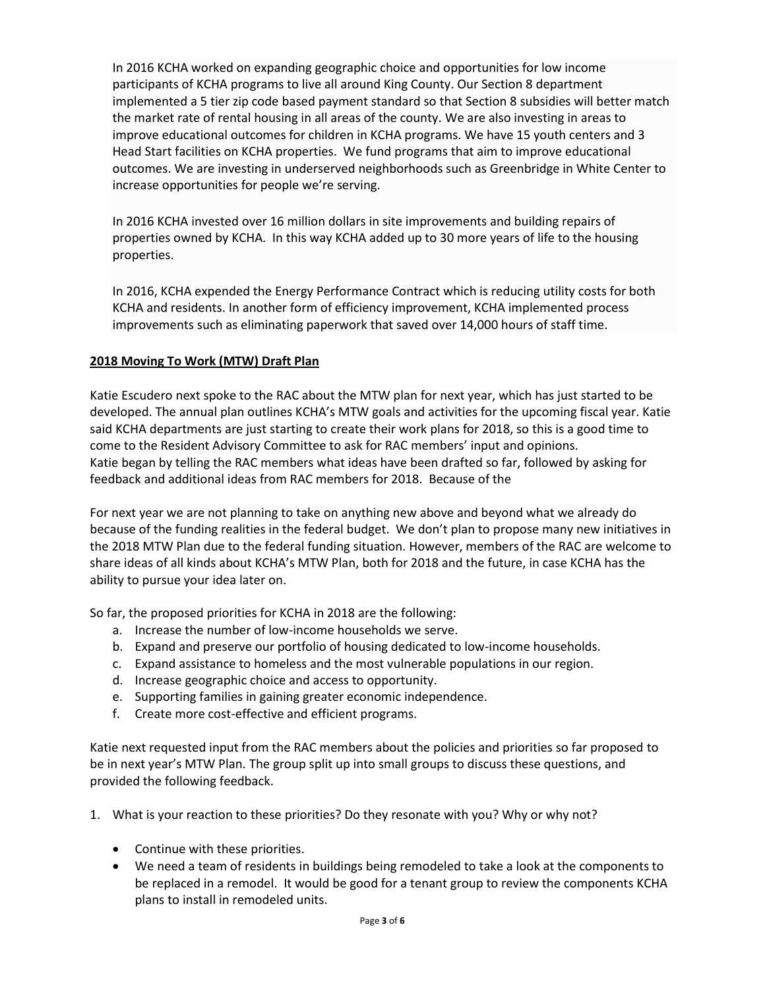In 2016 KCHA worked on expanding geographic choice and opportunities for low income participants of KCHA programs to live all around King County. Our Section 8 department implemented a 5 tier zip code based payment standard so that Section 8 subsidies will better match the market rate of rental housing in all areas of the county. We are also investing in areas to improve educational outcomes for children in KCHA programs. We have 15 youth centers and 3 Head Start facilities on KCHA properties. We fund programs that aim to improve educational outcomes. We are investing in underserved neighborhoods such as Greenbridge in White Center to increase opportunities for people we're serving.

In 2016 KCHA invested over 16 million dollars in site improvements and building repairs of properties owned by KCHA. In this way KCHA added up to 30 more years of life to the housing properties.

In 2016, KCHA expended the Energy Performance Contract which is reducing utility costs for both KCHA and residents. In another form of efficiency improvement, KCHA implemented process improvements such as eliminating paperwork that saved over 14,000 hours of staff time.

# **2018 Moving To Work (MTW) Draft Plan**

Katie Escudero next spoke to the RAC about the MTW plan for next year, which has just started to be developed. The annual plan outlines KCHA's MTW goals and activities for the upcoming fiscal year. Katie said KCHA departments are just starting to create their work plans for 2018, so this is a good time to come to the Resident Advisory Committee to ask for RAC members' input and opinions. Katie began by telling the RAC members what ideas have been drafted so far, followed by asking for feedback and additional ideas from RAC members for 2018. Because of the

For next year we are not planning to take on anything new above and beyond what we already do because of the funding realities in the federal budget. We don't plan to propose many new initiatives in the 2018 MTW Plan due to the federal funding situation. However, members of the RAC are welcome to share ideas of all kinds about KCHA's MTW Plan, both for 2018 and the future, in case KCHA has the ability to pursue your idea later on.

So far, the proposed priorities for KCHA in 2018 are the following:

- a. Increase the number of low-income households we serve.
- b. Expand and preserve our portfolio of housing dedicated to low-income households.
- c. Expand assistance to homeless and the most vulnerable populations in our region.
- d. Increase geographic choice and access to opportunity.
- e. Supporting families in gaining greater economic independence.
- f. Create more cost-effective and efficient programs.

Katie next requested input from the RAC members about the policies and priorities so far proposed to be in next year's MTW Plan. The group split up into small groups to discuss these questions, and provided the following feedback.

- 1. What is your reaction to these priorities? Do they resonate with you? Why or why not?
	- Continue with these priorities.
	- We need a team of residents in buildings being remodeled to take a look at the components to be replaced in a remodel. It would be good for a tenant group to review the components KCHA plans to install in remodeled units.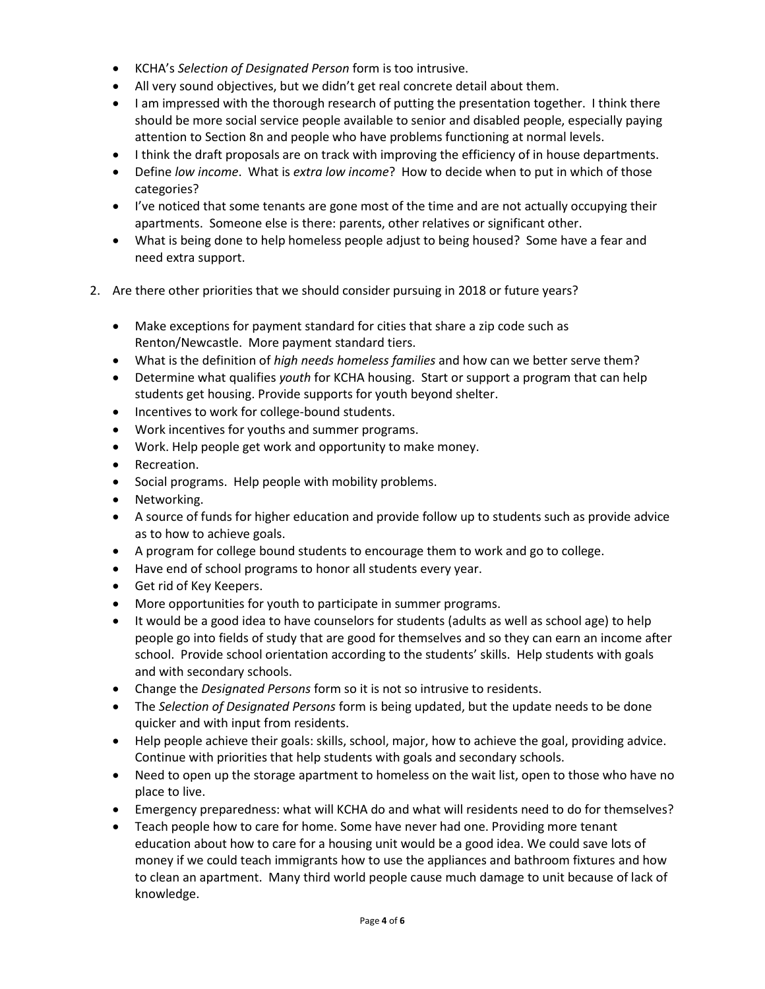- KCHA's *Selection of Designated Person* form is too intrusive.
- All very sound objectives, but we didn't get real concrete detail about them.
- I am impressed with the thorough research of putting the presentation together. I think there should be more social service people available to senior and disabled people, especially paying attention to Section 8n and people who have problems functioning at normal levels.
- I think the draft proposals are on track with improving the efficiency of in house departments.
- Define *low income*. What is *extra low income*? How to decide when to put in which of those categories?
- I've noticed that some tenants are gone most of the time and are not actually occupying their apartments. Someone else is there: parents, other relatives or significant other.
- What is being done to help homeless people adjust to being housed? Some have a fear and need extra support.
- 2. Are there other priorities that we should consider pursuing in 2018 or future years?
	- Make exceptions for payment standard for cities that share a zip code such as Renton/Newcastle. More payment standard tiers.
	- What is the definition of *high needs homeless families* and how can we better serve them?
	- Determine what qualifies *youth* for KCHA housing. Start or support a program that can help students get housing. Provide supports for youth beyond shelter.
	- Incentives to work for college-bound students.
	- Work incentives for youths and summer programs.
	- Work. Help people get work and opportunity to make money.
	- Recreation.
	- Social programs. Help people with mobility problems.
	- Networking.
	- A source of funds for higher education and provide follow up to students such as provide advice as to how to achieve goals.
	- A program for college bound students to encourage them to work and go to college.
	- Have end of school programs to honor all students every year.
	- Get rid of Key Keepers.
	- More opportunities for youth to participate in summer programs.
	- It would be a good idea to have counselors for students (adults as well as school age) to help people go into fields of study that are good for themselves and so they can earn an income after school. Provide school orientation according to the students' skills. Help students with goals and with secondary schools.
	- Change the *Designated Persons* form so it is not so intrusive to residents.
	- The *Selection of Designated Persons* form is being updated, but the update needs to be done quicker and with input from residents.
	- Help people achieve their goals: skills, school, major, how to achieve the goal, providing advice. Continue with priorities that help students with goals and secondary schools.
	- Need to open up the storage apartment to homeless on the wait list, open to those who have no place to live.
	- Emergency preparedness: what will KCHA do and what will residents need to do for themselves?
	- Teach people how to care for home. Some have never had one. Providing more tenant education about how to care for a housing unit would be a good idea. We could save lots of money if we could teach immigrants how to use the appliances and bathroom fixtures and how to clean an apartment. Many third world people cause much damage to unit because of lack of knowledge.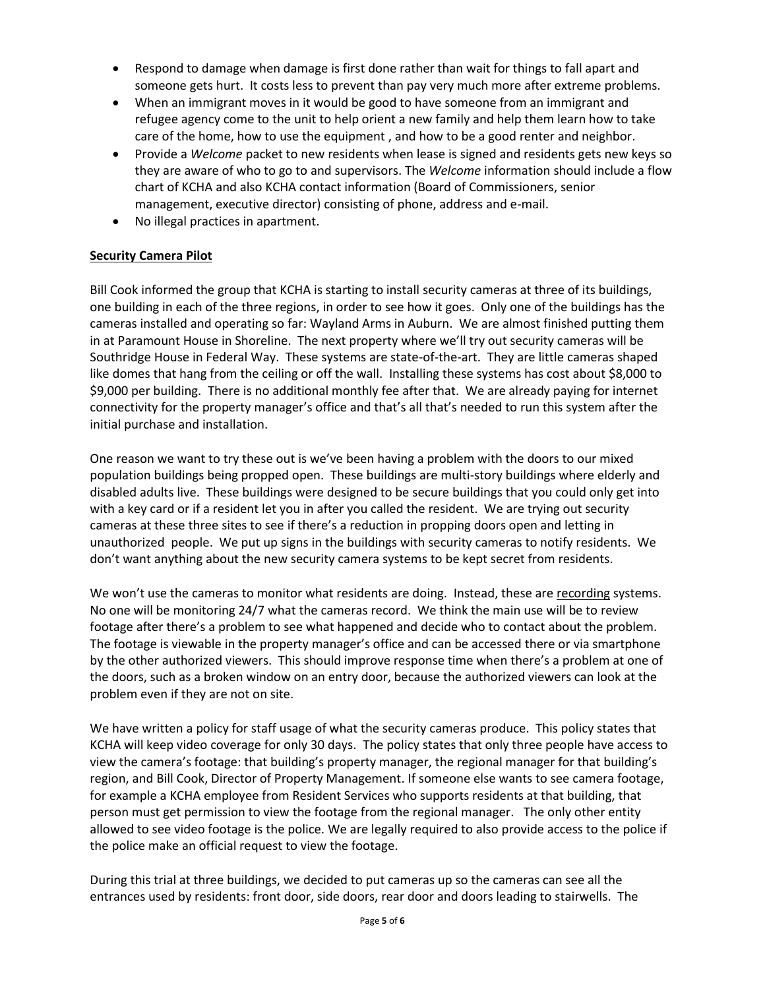- Respond to damage when damage is first done rather than wait for things to fall apart and someone gets hurt. It costs less to prevent than pay very much more after extreme problems.
- When an immigrant moves in it would be good to have someone from an immigrant and refugee agency come to the unit to help orient a new family and help them learn how to take care of the home, how to use the equipment , and how to be a good renter and neighbor.
- Provide a *Welcome* packet to new residents when lease is signed and residents gets new keys so they are aware of who to go to and supervisors. The *Welcome* information should include a flow chart of KCHA and also KCHA contact information (Board of Commissioners, senior management, executive director) consisting of phone, address and e-mail.
- No illegal practices in apartment.

# **Security Camera Pilot**

Bill Cook informed the group that KCHA is starting to install security cameras at three of its buildings, one building in each of the three regions, in order to see how it goes. Only one of the buildings has the cameras installed and operating so far: Wayland Arms in Auburn. We are almost finished putting them in at Paramount House in Shoreline. The next property where we'll try out security cameras will be Southridge House in Federal Way. These systems are state-of-the-art. They are little cameras shaped like domes that hang from the ceiling or off the wall. Installing these systems has cost about \$8,000 to \$9,000 per building. There is no additional monthly fee after that. We are already paying for internet connectivity for the property manager's office and that's all that's needed to run this system after the initial purchase and installation.

One reason we want to try these out is we've been having a problem with the doors to our mixed population buildings being propped open. These buildings are multi-story buildings where elderly and disabled adults live. These buildings were designed to be secure buildings that you could only get into with a key card or if a resident let you in after you called the resident. We are trying out security cameras at these three sites to see if there's a reduction in propping doors open and letting in unauthorized people. We put up signs in the buildings with security cameras to notify residents. We don't want anything about the new security camera systems to be kept secret from residents.

We won't use the cameras to monitor what residents are doing. Instead, these are recording systems. No one will be monitoring 24/7 what the cameras record. We think the main use will be to review footage after there's a problem to see what happened and decide who to contact about the problem. The footage is viewable in the property manager's office and can be accessed there or via smartphone by the other authorized viewers. This should improve response time when there's a problem at one of the doors, such as a broken window on an entry door, because the authorized viewers can look at the problem even if they are not on site.

We have written a policy for staff usage of what the security cameras produce. This policy states that KCHA will keep video coverage for only 30 days. The policy states that only three people have access to view the camera's footage: that building's property manager, the regional manager for that building's region, and Bill Cook, Director of Property Management. If someone else wants to see camera footage, for example a KCHA employee from Resident Services who supports residents at that building, that person must get permission to view the footage from the regional manager. The only other entity allowed to see video footage is the police. We are legally required to also provide access to the police if the police make an official request to view the footage.

During this trial at three buildings, we decided to put cameras up so the cameras can see all the entrances used by residents: front door, side doors, rear door and doors leading to stairwells. The